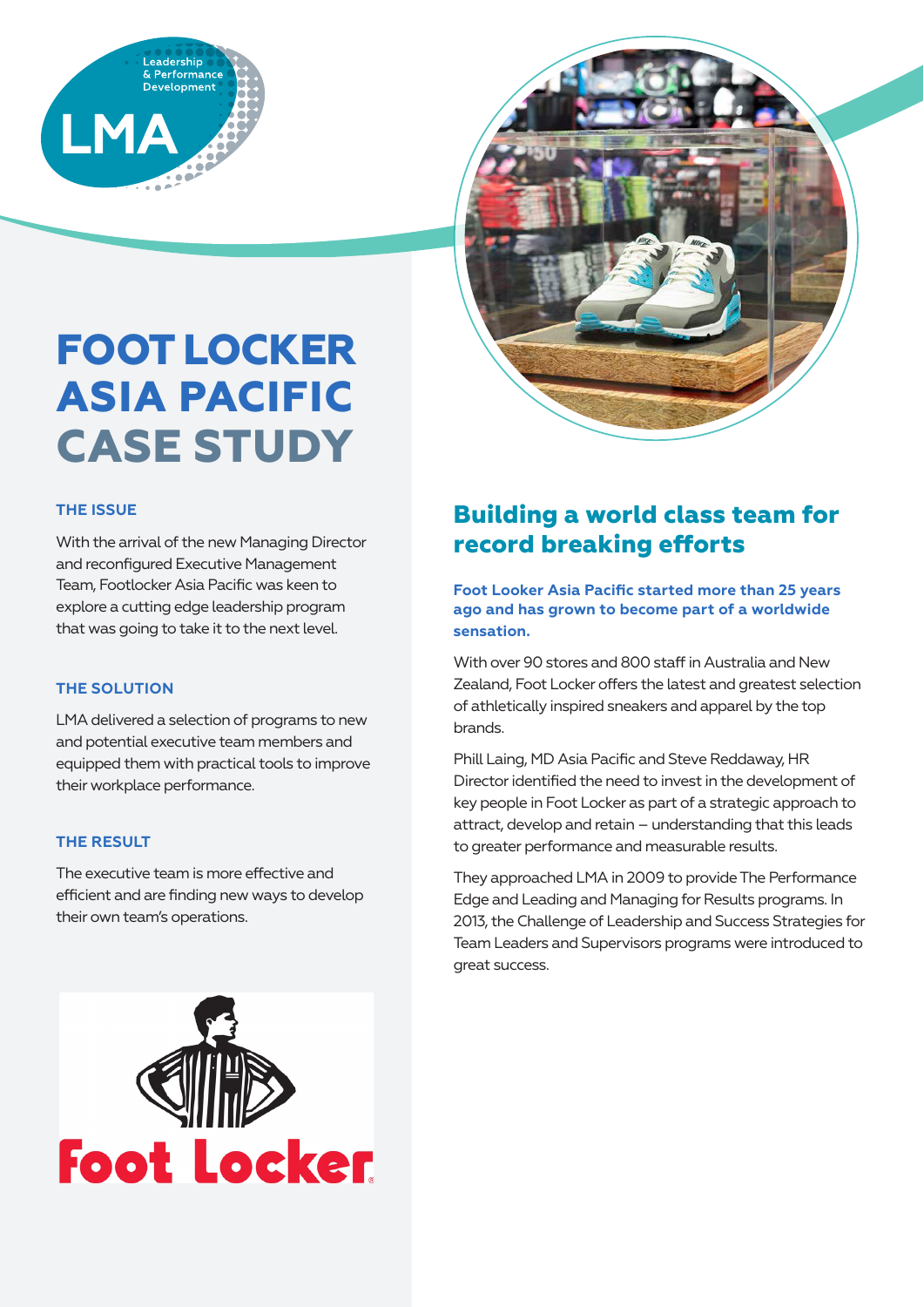



# **FOOT LOCKER ASIA PACIFIC CASE STUDY**

# **THE ISSUE**

With the arrival of the new Managing Director and reconfigured Executive Management Team, Footlocker Asia Pacific was keen to explore a cutting edge leadership program that was going to take it to the next level.

# **THE SOLUTION**

LMA delivered a selection of programs to new and potential executive team members and equipped them with practical tools to improve their workplace performance.

# **THE RESULT**

The executive team is more effective and efficient and are finding new ways to develop their own team's operations.



# **Building a world class team for record breaking efforts**

**Foot Looker Asia Pacific started more than 25 years ago and has grown to become part of a worldwide sensation.**

With over 90 stores and 800 staff in Australia and New Zealand, Foot Locker offers the latest and greatest selection of athletically inspired sneakers and apparel by the top brands.

Phill Laing, MD Asia Pacific and Steve Reddaway, HR Director identified the need to invest in the development of key people in Foot Locker as part of a strategic approach to attract, develop and retain – understanding that this leads to greater performance and measurable results.

They approached LMA in 2009 to provide The Performance Edge and Leading and Managing for Results programs. In 2013, the Challenge of Leadership and Success Strategies for Team Leaders and Supervisors programs were introduced to great success.